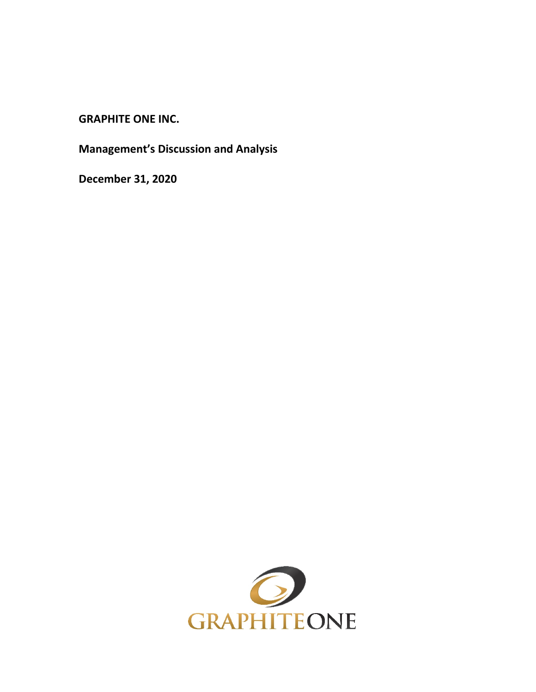**GRAPHITE ONE INC.**

**Management's Discussion and Analysis**

**December 31, 2020**

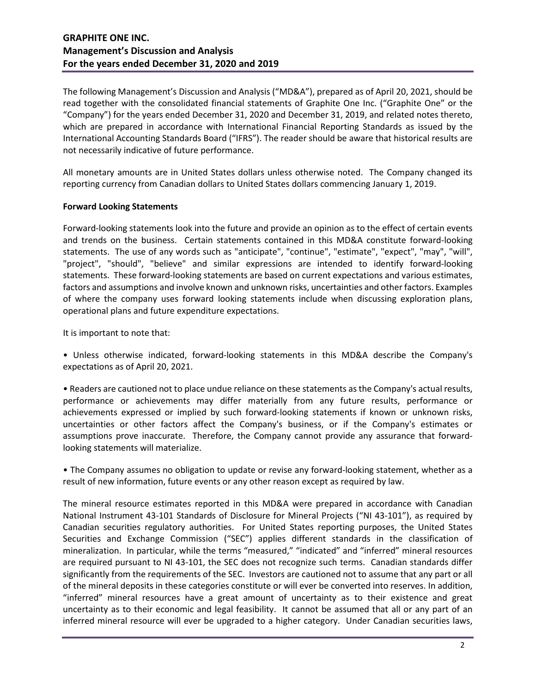The following Management's Discussion and Analysis ("MD&A"), prepared as of April 20, 2021, should be read together with the consolidated financial statements of Graphite One Inc. ("Graphite One" or the "Company") for the years ended December 31, 2020 and December 31, 2019, and related notes thereto, which are prepared in accordance with International Financial Reporting Standards as issued by the International Accounting Standards Board ("IFRS"). The reader should be aware that historical results are not necessarily indicative of future performance.

All monetary amounts are in United States dollars unless otherwise noted. The Company changed its reporting currency from Canadian dollars to United States dollars commencing January 1, 2019.

### **Forward Looking Statements**

Forward-looking statements look into the future and provide an opinion as to the effect of certain events and trends on the business. Certain statements contained in this MD&A constitute forward-looking statements. The use of any words such as "anticipate", "continue", "estimate", "expect", "may", "will", "project", "should", "believe" and similar expressions are intended to identify forward-looking statements. These forward-looking statements are based on current expectations and various estimates, factors and assumptions and involve known and unknown risks, uncertainties and other factors. Examples of where the company uses forward looking statements include when discussing exploration plans, operational plans and future expenditure expectations.

It is important to note that:

• Unless otherwise indicated, forward-looking statements in this MD&A describe the Company's expectations as of April 20, 2021.

• Readers are cautioned not to place undue reliance on these statements as the Company's actual results, performance or achievements may differ materially from any future results, performance or achievements expressed or implied by such forward-looking statements if known or unknown risks, uncertainties or other factors affect the Company's business, or if the Company's estimates or assumptions prove inaccurate. Therefore, the Company cannot provide any assurance that forwardlooking statements will materialize.

• The Company assumes no obligation to update or revise any forward-looking statement, whether as a result of new information, future events or any other reason except as required by law.

The mineral resource estimates reported in this MD&A were prepared in accordance with Canadian National Instrument 43-101 Standards of Disclosure for Mineral Projects ("NI 43-101"), as required by Canadian securities regulatory authorities. For United States reporting purposes, the United States Securities and Exchange Commission ("SEC") applies different standards in the classification of mineralization. In particular, while the terms "measured," "indicated" and "inferred" mineral resources are required pursuant to NI 43-101, the SEC does not recognize such terms. Canadian standards differ significantly from the requirements of the SEC. Investors are cautioned not to assume that any part or all of the mineral deposits in these categories constitute or will ever be converted into reserves. In addition, "inferred" mineral resources have a great amount of uncertainty as to their existence and great uncertainty as to their economic and legal feasibility. It cannot be assumed that all or any part of an inferred mineral resource will ever be upgraded to a higher category. Under Canadian securities laws,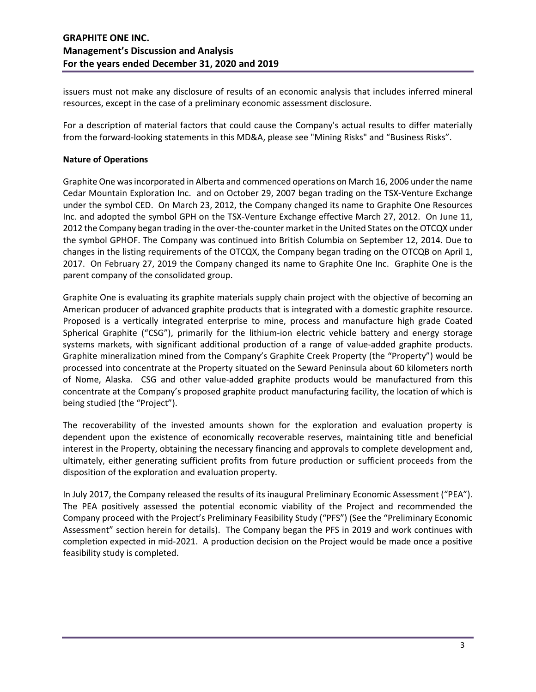issuers must not make any disclosure of results of an economic analysis that includes inferred mineral resources, except in the case of a preliminary economic assessment disclosure.

For a description of material factors that could cause the Company's actual results to differ materially from the forward-looking statements in this MD&A, please see "Mining Risks" and "Business Risks".

#### **Nature of Operations**

Graphite One was incorporated in Alberta and commenced operations on March 16, 2006 under the name Cedar Mountain Exploration Inc. and on October 29, 2007 began trading on the TSX-Venture Exchange under the symbol CED. On March 23, 2012, the Company changed its name to Graphite One Resources Inc. and adopted the symbol GPH on the TSX-Venture Exchange effective March 27, 2012. On June 11, 2012 the Company began trading in the over-the-counter market in the United States on the OTCQX under the symbol GPHOF. The Company was continued into British Columbia on September 12, 2014. Due to changes in the listing requirements of the OTCQX, the Company began trading on the OTCQB on April 1, 2017. On February 27, 2019 the Company changed its name to Graphite One Inc. Graphite One is the parent company of the consolidated group.

Graphite One is evaluating its graphite materials supply chain project with the objective of becoming an American producer of advanced graphite products that is integrated with a domestic graphite resource. Proposed is a vertically integrated enterprise to mine, process and manufacture high grade Coated Spherical Graphite ("CSG"), primarily for the lithium-ion electric vehicle battery and energy storage systems markets, with significant additional production of a range of value-added graphite products. Graphite mineralization mined from the Company's Graphite Creek Property (the "Property") would be processed into concentrate at the Property situated on the Seward Peninsula about 60 kilometers north of Nome, Alaska. CSG and other value-added graphite products would be manufactured from this concentrate at the Company's proposed graphite product manufacturing facility, the location of which is being studied (the "Project").

The recoverability of the invested amounts shown for the exploration and evaluation property is dependent upon the existence of economically recoverable reserves, maintaining title and beneficial interest in the Property, obtaining the necessary financing and approvals to complete development and, ultimately, either generating sufficient profits from future production or sufficient proceeds from the disposition of the exploration and evaluation property.

In July 2017, the Company released the results of its inaugural Preliminary Economic Assessment ("PEA"). The PEA positively assessed the potential economic viability of the Project and recommended the Company proceed with the Project's Preliminary Feasibility Study ("PFS") (See the "Preliminary Economic Assessment" section herein for details). The Company began the PFS in 2019 and work continues with completion expected in mid-2021. A production decision on the Project would be made once a positive feasibility study is completed.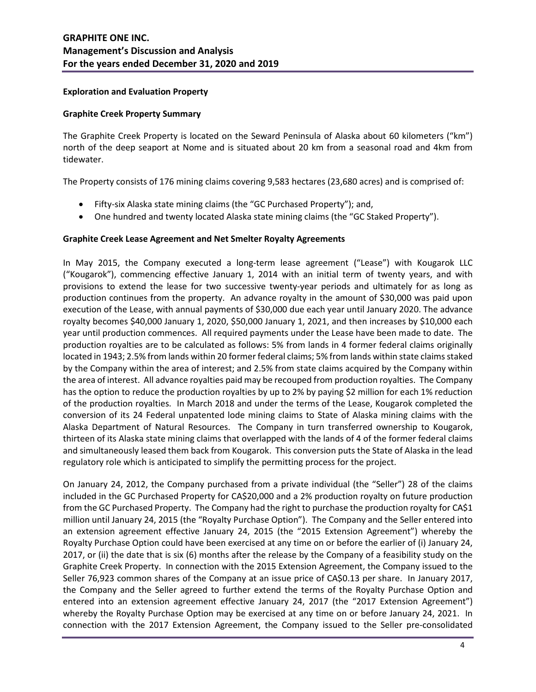### **Exploration and Evaluation Property**

### **Graphite Creek Property Summary**

The Graphite Creek Property is located on the Seward Peninsula of Alaska about 60 kilometers ("km") north of the deep seaport at Nome and is situated about 20 km from a seasonal road and 4km from tidewater.

The Property consists of 176 mining claims covering 9,583 hectares (23,680 acres) and is comprised of:

- Fifty-six Alaska state mining claims (the "GC Purchased Property"); and,
- One hundred and twenty located Alaska state mining claims (the "GC Staked Property").

### **Graphite Creek Lease Agreement and Net Smelter Royalty Agreements**

In May 2015, the Company executed a long-term lease agreement ("Lease") with Kougarok LLC ("Kougarok"), commencing effective January 1, 2014 with an initial term of twenty years, and with provisions to extend the lease for two successive twenty-year periods and ultimately for as long as production continues from the property. An advance royalty in the amount of \$30,000 was paid upon execution of the Lease, with annual payments of \$30,000 due each year until January 2020. The advance royalty becomes \$40,000 January 1, 2020, \$50,000 January 1, 2021, and then increases by \$10,000 each year until production commences. All required payments under the Lease have been made to date. The production royalties are to be calculated as follows: 5% from lands in 4 former federal claims originally located in 1943; 2.5% from lands within 20 former federal claims; 5% from lands within state claims staked by the Company within the area of interest; and 2.5% from state claims acquired by the Company within the area of interest. All advance royalties paid may be recouped from production royalties. The Company has the option to reduce the production royalties by up to 2% by paying \$2 million for each 1% reduction of the production royalties. In March 2018 and under the terms of the Lease, Kougarok completed the conversion of its 24 Federal unpatented lode mining claims to State of Alaska mining claims with the Alaska Department of Natural Resources. The Company in turn transferred ownership to Kougarok, thirteen of its Alaska state mining claims that overlapped with the lands of 4 of the former federal claims and simultaneously leased them back from Kougarok. This conversion puts the State of Alaska in the lead regulatory role which is anticipated to simplify the permitting process for the project.

On January 24, 2012, the Company purchased from a private individual (the "Seller") 28 of the claims included in the GC Purchased Property for CA\$20,000 and a 2% production royalty on future production from the GC Purchased Property. The Company had the right to purchase the production royalty for CA\$1 million until January 24, 2015 (the "Royalty Purchase Option"). The Company and the Seller entered into an extension agreement effective January 24, 2015 (the "2015 Extension Agreement") whereby the Royalty Purchase Option could have been exercised at any time on or before the earlier of (i) January 24, 2017, or (ii) the date that is six (6) months after the release by the Company of a feasibility study on the Graphite Creek Property. In connection with the 2015 Extension Agreement, the Company issued to the Seller 76,923 common shares of the Company at an issue price of CA\$0.13 per share. In January 2017, the Company and the Seller agreed to further extend the terms of the Royalty Purchase Option and entered into an extension agreement effective January 24, 2017 (the "2017 Extension Agreement") whereby the Royalty Purchase Option may be exercised at any time on or before January 24, 2021. In connection with the 2017 Extension Agreement, the Company issued to the Seller pre-consolidated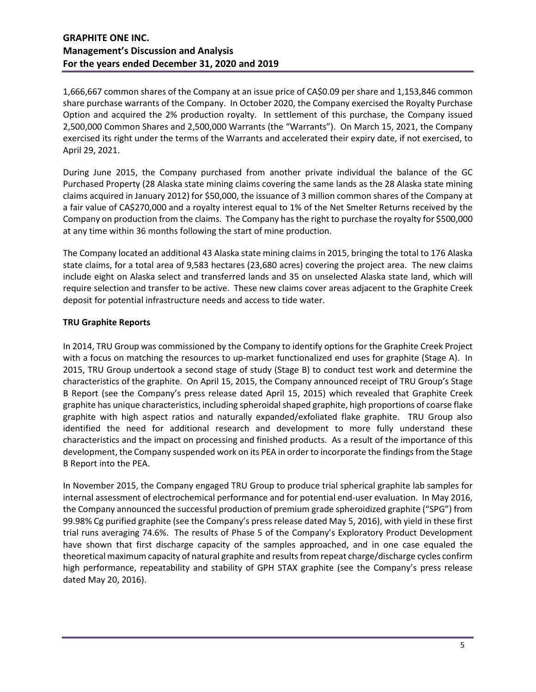1,666,667 common shares of the Company at an issue price of CA\$0.09 per share and 1,153,846 common share purchase warrants of the Company. In October 2020, the Company exercised the Royalty Purchase Option and acquired the 2% production royalty. In settlement of this purchase, the Company issued 2,500,000 Common Shares and 2,500,000 Warrants (the "Warrants"). On March 15, 2021, the Company exercised its right under the terms of the Warrants and accelerated their expiry date, if not exercised, to April 29, 2021.

During June 2015, the Company purchased from another private individual the balance of the GC Purchased Property (28 Alaska state mining claims covering the same lands as the 28 Alaska state mining claims acquired in January 2012) for \$50,000, the issuance of 3 million common shares of the Company at a fair value of CA\$270,000 and a royalty interest equal to 1% of the Net Smelter Returns received by the Company on production from the claims. The Company has the right to purchase the royalty for \$500,000 at any time within 36 months following the start of mine production.

The Company located an additional 43 Alaska state mining claims in 2015, bringing the total to 176 Alaska state claims, for a total area of 9,583 hectares (23,680 acres) covering the project area. The new claims include eight on Alaska select and transferred lands and 35 on unselected Alaska state land, which will require selection and transfer to be active. These new claims cover areas adjacent to the Graphite Creek deposit for potential infrastructure needs and access to tide water.

# **TRU Graphite Reports**

In 2014, TRU Group was commissioned by the Company to identify options for the Graphite Creek Project with a focus on matching the resources to up-market functionalized end uses for graphite (Stage A). In 2015, TRU Group undertook a second stage of study (Stage B) to conduct test work and determine the characteristics of the graphite. On April 15, 2015, the Company announced receipt of TRU Group's Stage B Report (see the Company's press release dated April 15, 2015) which revealed that Graphite Creek graphite has unique characteristics, including spheroidal shaped graphite, high proportions of coarse flake graphite with high aspect ratios and naturally expanded/exfoliated flake graphite. TRU Group also identified the need for additional research and development to more fully understand these characteristics and the impact on processing and finished products. As a result of the importance of this development, the Company suspended work on its PEA in order to incorporate the findings from the Stage B Report into the PEA.

In November 2015, the Company engaged TRU Group to produce trial spherical graphite lab samples for internal assessment of electrochemical performance and for potential end-user evaluation. In May 2016, the Company announced the successful production of premium grade spheroidized graphite ("SPG") from 99.98% Cg purified graphite (see the Company's press release dated May 5, 2016), with yield in these first trial runs averaging 74.6%. The results of Phase 5 of the Company's Exploratory Product Development have shown that first discharge capacity of the samples approached, and in one case equaled the theoretical maximum capacity of natural graphite and results from repeat charge/discharge cycles confirm high performance, repeatability and stability of GPH STAX graphite (see the Company's press release dated May 20, 2016).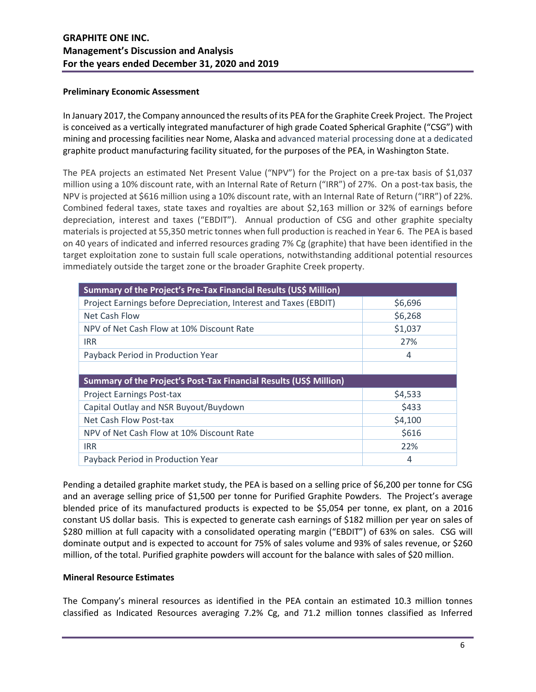#### **Preliminary Economic Assessment**

In January 2017, the Company announced the results of its PEA for the Graphite Creek Project. The Project is conceived as a vertically integrated manufacturer of high grade Coated Spherical Graphite ("CSG") with mining and processing facilities near Nome, Alaska and advanced material processing done at a dedicated graphite product manufacturing facility situated, for the purposes of the PEA, in Washington State.

The PEA projects an estimated Net Present Value ("NPV") for the Project on a pre-tax basis of \$1,037 million using a 10% discount rate, with an Internal Rate of Return ("IRR") of 27%. On a post-tax basis, the NPV is projected at \$616 million using a 10% discount rate, with an Internal Rate of Return ("IRR") of 22%. Combined federal taxes, state taxes and royalties are about \$2,163 million or 32% of earnings before depreciation, interest and taxes ("EBDIT"). Annual production of CSG and other graphite specialty materials is projected at 55,350 metric tonnes when full production is reached in Year 6. The PEA is based on 40 years of indicated and inferred resources grading 7% Cg (graphite) that have been identified in the target exploitation zone to sustain full scale operations, notwithstanding additional potential resources immediately outside the target zone or the broader Graphite Creek property.

| Summary of the Project's Pre-Tax Financial Results (US\$ Million)  |         |  |  |  |  |
|--------------------------------------------------------------------|---------|--|--|--|--|
| Project Earnings before Depreciation, Interest and Taxes (EBDIT)   | \$6,696 |  |  |  |  |
| Net Cash Flow                                                      | \$6,268 |  |  |  |  |
| NPV of Net Cash Flow at 10% Discount Rate                          | \$1,037 |  |  |  |  |
| <b>IRR</b>                                                         | 27%     |  |  |  |  |
| Payback Period in Production Year                                  | 4       |  |  |  |  |
|                                                                    |         |  |  |  |  |
| Summary of the Project's Post-Tax Financial Results (US\$ Million) |         |  |  |  |  |
|                                                                    |         |  |  |  |  |
| <b>Project Earnings Post-tax</b>                                   | \$4,533 |  |  |  |  |
| Capital Outlay and NSR Buyout/Buydown                              | \$433   |  |  |  |  |
| Net Cash Flow Post-tax                                             | \$4,100 |  |  |  |  |
| NPV of Net Cash Flow at 10% Discount Rate                          | \$616   |  |  |  |  |
| <b>IRR</b>                                                         | 22%     |  |  |  |  |

Pending a detailed graphite market study, the PEA is based on a selling price of \$6,200 per tonne for CSG and an average selling price of \$1,500 per tonne for Purified Graphite Powders. The Project's average blended price of its manufactured products is expected to be \$5,054 per tonne, ex plant, on a 2016 constant US dollar basis. This is expected to generate cash earnings of \$182 million per year on sales of \$280 million at full capacity with a consolidated operating margin ("EBDIT") of 63% on sales. CSG will dominate output and is expected to account for 75% of sales volume and 93% of sales revenue, or \$260 million, of the total. Purified graphite powders will account for the balance with sales of \$20 million.

#### **Mineral Resource Estimates**

The Company's mineral resources as identified in the PEA contain an estimated 10.3 million tonnes classified as Indicated Resources averaging 7.2% Cg, and 71.2 million tonnes classified as Inferred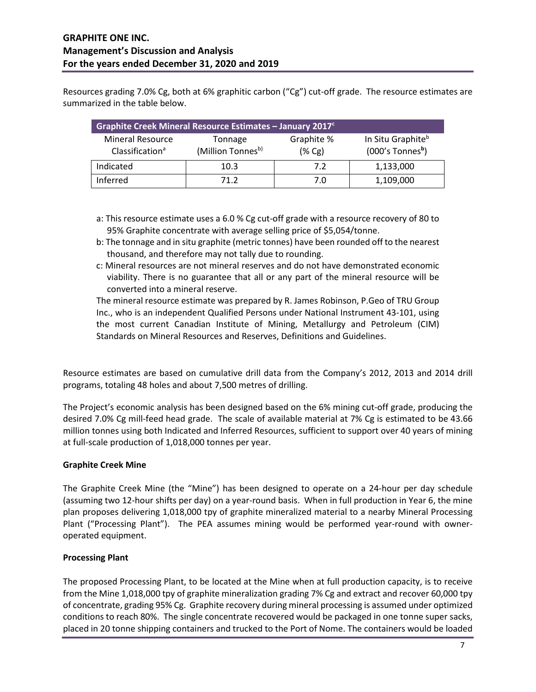Resources grading 7.0% Cg, both at 6% graphitic carbon ("Cg") cut-off grade. The resource estimates are summarized in the table below.

| Graphite Creek Mineral Resource Estimates - January 2017 <sup>c</sup> |         |            |                               |  |  |  |  |  |
|-----------------------------------------------------------------------|---------|------------|-------------------------------|--|--|--|--|--|
| <b>Mineral Resource</b>                                               | Tonnage | Graphite % | In Situ Graphite <sup>b</sup> |  |  |  |  |  |
| (Million Tonnesb)<br>Classification <sup>a</sup>                      |         | (% Cg)     | (000's Tonnes <sup>b</sup> )  |  |  |  |  |  |
| Indicated                                                             | 10.3    | 7.2        | 1,133,000                     |  |  |  |  |  |
| Inferred                                                              | 71 2    | 7.0        | 1,109,000                     |  |  |  |  |  |

- a: This resource estimate uses a 6.0 % Cg cut-off grade with a resource recovery of 80 to 95% Graphite concentrate with average selling price of \$5,054/tonne.
- b: The tonnage and in situ graphite (metric tonnes) have been rounded off to the nearest thousand, and therefore may not tally due to rounding.
- c: Mineral resources are not mineral reserves and do not have demonstrated economic viability. There is no guarantee that all or any part of the mineral resource will be converted into a mineral reserve.

The mineral resource estimate was prepared by R. James Robinson, P.Geo of TRU Group Inc., who is an independent Qualified Persons under National Instrument 43-101, using the most current Canadian Institute of Mining, Metallurgy and Petroleum (CIM) Standards on Mineral Resources and Reserves, Definitions and Guidelines.

Resource estimates are based on cumulative drill data from the Company's 2012, 2013 and 2014 drill programs, totaling 48 holes and about 7,500 metres of drilling.

The Project's economic analysis has been designed based on the 6% mining cut-off grade, producing the desired 7.0% Cg mill-feed head grade. The scale of available material at 7% Cg is estimated to be 43.66 million tonnes using both Indicated and Inferred Resources, sufficient to support over 40 years of mining at full-scale production of 1,018,000 tonnes per year.

# **Graphite Creek Mine**

The Graphite Creek Mine (the "Mine") has been designed to operate on a 24-hour per day schedule (assuming two 12-hour shifts per day) on a year-round basis. When in full production in Year 6, the mine plan proposes delivering 1,018,000 tpy of graphite mineralized material to a nearby Mineral Processing Plant ("Processing Plant"). The PEA assumes mining would be performed year-round with owneroperated equipment.

# **Processing Plant**

The proposed Processing Plant, to be located at the Mine when at full production capacity, is to receive from the Mine 1,018,000 tpy of graphite mineralization grading 7% Cg and extract and recover 60,000 tpy of concentrate, grading 95% Cg. Graphite recovery during mineral processing is assumed under optimized conditions to reach 80%. The single concentrate recovered would be packaged in one tonne super sacks, placed in 20 tonne shipping containers and trucked to the Port of Nome. The containers would be loaded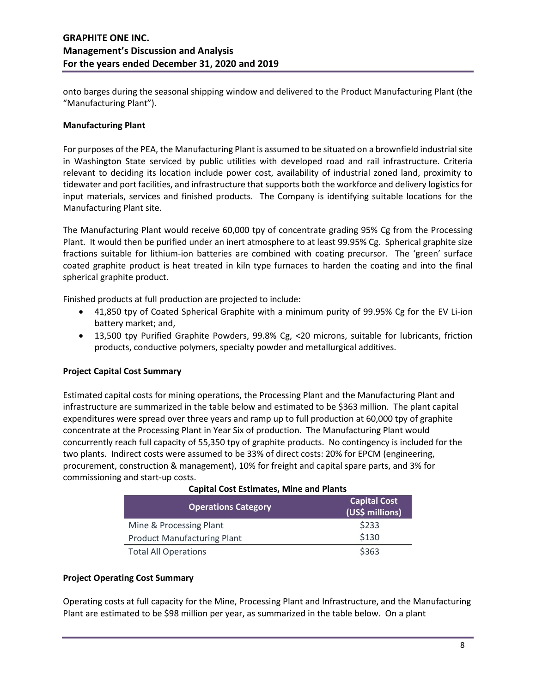onto barges during the seasonal shipping window and delivered to the Product Manufacturing Plant (the "Manufacturing Plant").

### **Manufacturing Plant**

For purposes of the PEA, the Manufacturing Plant is assumed to be situated on a brownfield industrial site in Washington State serviced by public utilities with developed road and rail infrastructure. Criteria relevant to deciding its location include power cost, availability of industrial zoned land, proximity to tidewater and port facilities, and infrastructure that supports both the workforce and delivery logistics for input materials, services and finished products. The Company is identifying suitable locations for the Manufacturing Plant site.

The Manufacturing Plant would receive 60,000 tpy of concentrate grading 95% Cg from the Processing Plant. It would then be purified under an inert atmosphere to at least 99.95% Cg. Spherical graphite size fractions suitable for lithium-ion batteries are combined with coating precursor. The 'green' surface coated graphite product is heat treated in kiln type furnaces to harden the coating and into the final spherical graphite product.

Finished products at full production are projected to include:

- 41,850 tpy of Coated Spherical Graphite with a minimum purity of 99.95% Cg for the EV Li-ion battery market; and,
- 13,500 tpy Purified Graphite Powders, 99.8% Cg, <20 microns, suitable for lubricants, friction products, conductive polymers, specialty powder and metallurgical additives.

#### **Project Capital Cost Summary**

Estimated capital costs for mining operations, the Processing Plant and the Manufacturing Plant and infrastructure are summarized in the table below and estimated to be \$363 million. The plant capital expenditures were spread over three years and ramp up to full production at 60,000 tpy of graphite concentrate at the Processing Plant in Year Six of production. The Manufacturing Plant would concurrently reach full capacity of 55,350 tpy of graphite products. No contingency is included for the two plants. Indirect costs were assumed to be 33% of direct costs: 20% for EPCM (engineering, procurement, construction & management), 10% for freight and capital spare parts, and 3% for commissioning and start-up costs.

| <b>Capital Cost Estimates, Mine and Plants</b>                       |       |  |  |  |  |
|----------------------------------------------------------------------|-------|--|--|--|--|
| <b>Capital Cost</b><br><b>Operations Category</b><br>(US\$ millions) |       |  |  |  |  |
| Mine & Processing Plant                                              | \$233 |  |  |  |  |
| <b>Product Manufacturing Plant</b>                                   | \$130 |  |  |  |  |
| <b>Total All Operations</b>                                          | \$363 |  |  |  |  |

# **Project Operating Cost Summary**

Operating costs at full capacity for the Mine, Processing Plant and Infrastructure, and the Manufacturing Plant are estimated to be \$98 million per year, as summarized in the table below. On a plant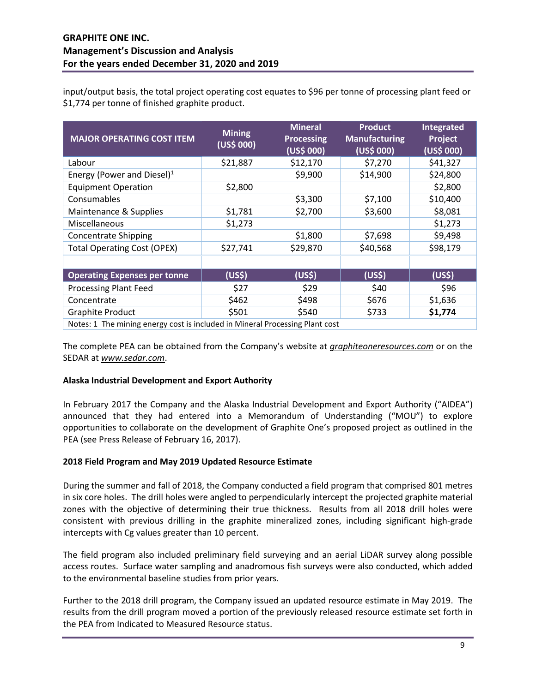input/output basis, the total project operating cost equates to \$96 per tonne of processing plant feed or \$1,774 per tonne of finished graphite product.

| <b>MAJOR OPERATING COST ITEM</b>                                            | <b>Mining</b><br>(US\$000) | <b>Mineral</b><br><b>Processing</b><br>(US\$000) | <b>Product</b><br><b>Manufacturing</b><br>(US\$ 000) | Integrated<br>Project<br>(US\$ 000) |
|-----------------------------------------------------------------------------|----------------------------|--------------------------------------------------|------------------------------------------------------|-------------------------------------|
| Labour                                                                      | \$21,887                   | \$12,170                                         | \$7,270                                              | \$41,327                            |
| Energy (Power and Diesel) $1$                                               |                            | \$9,900                                          | \$14,900                                             | \$24,800                            |
| <b>Equipment Operation</b>                                                  | \$2,800                    |                                                  |                                                      | \$2,800                             |
| Consumables                                                                 |                            | \$3,300                                          | \$7,100                                              | \$10,400                            |
| Maintenance & Supplies                                                      | \$1,781                    | \$2,700                                          | \$3,600                                              | \$8,081                             |
| Miscellaneous                                                               | \$1,273                    |                                                  |                                                      | \$1,273                             |
| <b>Concentrate Shipping</b>                                                 |                            | \$1,800                                          | \$7,698                                              | \$9,498                             |
| <b>Total Operating Cost (OPEX)</b>                                          | \$27,741                   | \$29,870                                         | \$40,568                                             | \$98,179                            |
|                                                                             |                            |                                                  |                                                      |                                     |
| <b>Operating Expenses per tonne</b>                                         | (US\$)                     | (US <sub>5</sub> )                               | (US <sub>5</sub> )                                   | (US <sub>5</sub> )                  |
| <b>Processing Plant Feed</b>                                                | \$27                       | \$29                                             | \$40                                                 | \$96                                |
| Concentrate                                                                 | \$462                      | \$498                                            | \$676                                                | \$1,636                             |
| <b>Graphite Product</b>                                                     | \$501                      | \$540                                            | \$733                                                | \$1,774                             |
| Notated The mining energy sect is included in Mineral Processing Plant sect |                            |                                                  |                                                      |                                     |

Notes: 1 The mining energy cost is included in Mineral Processing Plant cost

The complete PEA can be obtained from the Company's website at *graphiteoneresources.com* or on the SEDAR at *www.sedar.com*.

#### **Alaska Industrial Development and Export Authority**

In February 2017 the Company and the Alaska Industrial Development and Export Authority ("AIDEA") announced that they had entered into a Memorandum of Understanding ("MOU") to explore opportunities to collaborate on the development of Graphite One's proposed project as outlined in the PEA (see Press Release of February 16, 2017).

#### **2018 Field Program and May 2019 Updated Resource Estimate**

During the summer and fall of 2018, the Company conducted a field program that comprised 801 metres in six core holes. The drill holes were angled to perpendicularly intercept the projected graphite material zones with the objective of determining their true thickness. Results from all 2018 drill holes were consistent with previous drilling in the graphite mineralized zones, including significant high-grade intercepts with Cg values greater than 10 percent.

The field program also included preliminary field surveying and an aerial LiDAR survey along possible access routes. Surface water sampling and anadromous fish surveys were also conducted, which added to the environmental baseline studies from prior years.

Further to the 2018 drill program, the Company issued an updated resource estimate in May 2019. The results from the drill program moved a portion of the previously released resource estimate set forth in the PEA from Indicated to Measured Resource status.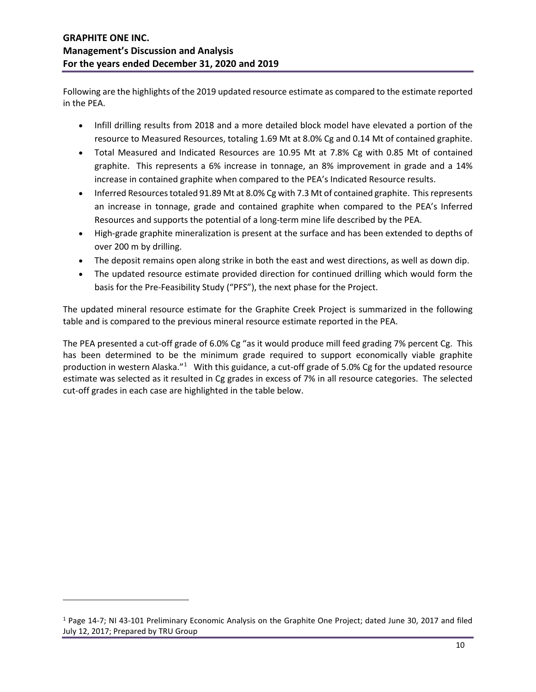Following are the highlights of the 2019 updated resource estimate as compared to the estimate reported in the PEA.

- Infill drilling results from 2018 and a more detailed block model have elevated a portion of the resource to Measured Resources, totaling 1.69 Mt at 8.0% Cg and 0.14 Mt of contained graphite.
- Total Measured and Indicated Resources are 10.95 Mt at 7.8% Cg with 0.85 Mt of contained graphite. This represents a 6% increase in tonnage, an 8% improvement in grade and a 14% increase in contained graphite when compared to the PEA's Indicated Resource results.
- Inferred Resources totaled 91.89 Mt at 8.0% Cg with 7.3 Mt of contained graphite. This represents an increase in tonnage, grade and contained graphite when compared to the PEA's Inferred Resources and supports the potential of a long-term mine life described by the PEA.
- High-grade graphite mineralization is present at the surface and has been extended to depths of over 200 m by drilling.
- The deposit remains open along strike in both the east and west directions, as well as down dip.
- The updated resource estimate provided direction for continued drilling which would form the basis for the Pre-Feasibility Study ("PFS"), the next phase for the Project.

The updated mineral resource estimate for the Graphite Creek Project is summarized in the following table and is compared to the previous mineral resource estimate reported in the PEA.

The PEA presented a cut-off grade of 6.0% Cg "as it would produce mill feed grading 7% percent Cg. This has been determined to be the minimum grade required to support economically viable graphite production in western Alaska."<sup>[1](#page-9-0)</sup> With this guidance, a cut-off grade of 5.0% Cg for the updated resource estimate was selected as it resulted in Cg grades in excess of 7% in all resource categories. The selected cut-off grades in each case are highlighted in the table below.

<span id="page-9-0"></span><sup>1</sup> Page 14-7; NI 43-101 Preliminary Economic Analysis on the Graphite One Project; dated June 30, 2017 and filed July 12, 2017; Prepared by TRU Group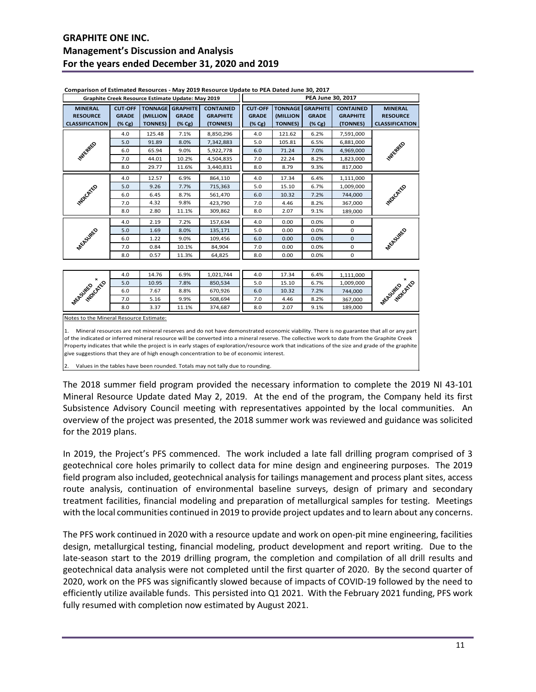# **GRAPHITE ONE INC. Management's Discussion and Analysis For the years ended December 31, 2020 and 2019**

|                                                                                                                                                                                                                                                                                                                                                                                                                                                                                                                                                                                                                                   | Graphite Creek Resource Estimate Update: May 2019 |                            |                                                    |                                                 | Comparison of Estimated Resources - May 2019 Resource Opdate to PEA Dated June 30, 2017<br>PEA June 30, 2017 |                                              |                                           |                                                 |                                                            |
|-----------------------------------------------------------------------------------------------------------------------------------------------------------------------------------------------------------------------------------------------------------------------------------------------------------------------------------------------------------------------------------------------------------------------------------------------------------------------------------------------------------------------------------------------------------------------------------------------------------------------------------|---------------------------------------------------|----------------------------|----------------------------------------------------|-------------------------------------------------|--------------------------------------------------------------------------------------------------------------|----------------------------------------------|-------------------------------------------|-------------------------------------------------|------------------------------------------------------------|
| <b>MINERAL</b><br><b>RESOURCE</b><br><b>CLASSIFICATION</b>                                                                                                                                                                                                                                                                                                                                                                                                                                                                                                                                                                        | <b>CUT-OFF</b><br><b>GRADE</b><br>(% Cg)          | (MILLION<br><b>TONNES)</b> | <b>TONNAGE GRAPHITE</b><br><b>GRADE</b><br>$(*cg)$ | <b>CONTAINED</b><br><b>GRAPHITE</b><br>(TONNES) | <b>CUT-OFF</b><br><b>GRADE</b><br>$(\% \, \text{Cg})$                                                        | <b>TONNAGE</b><br>(MILLION<br><b>TONNES)</b> | <b>GRAPHITE</b><br><b>GRADE</b><br>(% Cg) | <b>CONTAINED</b><br><b>GRAPHITE</b><br>(TONNES) | <b>MINERAL</b><br><b>RESOURCE</b><br><b>CLASSIFICATION</b> |
|                                                                                                                                                                                                                                                                                                                                                                                                                                                                                                                                                                                                                                   | 4.0                                               | 125.48                     | 7.1%                                               | 8,850,296                                       | 4.0                                                                                                          | 121.62                                       | 6.2%                                      | 7,591,000                                       |                                                            |
|                                                                                                                                                                                                                                                                                                                                                                                                                                                                                                                                                                                                                                   | 5.0                                               | 91.89                      | 8.0%                                               | 7,342,883                                       | 5.0                                                                                                          | 105.81                                       | 6.5%                                      | 6,881,000                                       |                                                            |
| <b>TAKE</b> REED                                                                                                                                                                                                                                                                                                                                                                                                                                                                                                                                                                                                                  | 6.0                                               | 65.94                      | 9.0%                                               | 5,922,778                                       | 6.0                                                                                                          | 71.24                                        | 7.0%                                      | 4,969,000                                       | <b>TAFFREE</b>                                             |
|                                                                                                                                                                                                                                                                                                                                                                                                                                                                                                                                                                                                                                   | 7.0                                               | 44.01                      | 10.2%                                              | 4,504,835                                       | 7.0                                                                                                          | 22.24                                        | 8.2%                                      | 1,823,000                                       |                                                            |
|                                                                                                                                                                                                                                                                                                                                                                                                                                                                                                                                                                                                                                   | 8.0                                               | 29.77                      | 11.6%                                              | 3,440,831                                       | 8.0                                                                                                          | 8.79                                         | 9.3%                                      | 817,000                                         |                                                            |
|                                                                                                                                                                                                                                                                                                                                                                                                                                                                                                                                                                                                                                   | 4.0                                               | 12.57                      | 6.9%                                               | 864,110                                         | 4.0                                                                                                          | 17.34                                        | 6.4%                                      | 1,111,000                                       |                                                            |
| <b>Malchie</b> S                                                                                                                                                                                                                                                                                                                                                                                                                                                                                                                                                                                                                  | 5.0                                               | 9.26                       | 7.7%                                               | 715,363                                         | 5.0                                                                                                          | 15.10                                        | 6.7%                                      | 1,009,000                                       | <b>MOVEMED</b>                                             |
|                                                                                                                                                                                                                                                                                                                                                                                                                                                                                                                                                                                                                                   | 6.0                                               | 6.45                       | 8.7%                                               | 561,470                                         | 6.0                                                                                                          | 10.32                                        | 7.2%                                      | 744,000                                         |                                                            |
|                                                                                                                                                                                                                                                                                                                                                                                                                                                                                                                                                                                                                                   | 7.0                                               | 4.32                       | 9.8%                                               | 423,790                                         | 7.0                                                                                                          | 4.46                                         | 8.2%                                      | 367,000                                         |                                                            |
|                                                                                                                                                                                                                                                                                                                                                                                                                                                                                                                                                                                                                                   | 8.0                                               | 2.80                       | 11.1%                                              | 309,862                                         | 8.0                                                                                                          | 2.07                                         | 9.1%                                      | 189,000                                         |                                                            |
|                                                                                                                                                                                                                                                                                                                                                                                                                                                                                                                                                                                                                                   | 4.0                                               | 2.19                       | 7.2%                                               | 157,634                                         | 4.0                                                                                                          | 0.00                                         | 0.0%                                      | 0                                               |                                                            |
| MEASURED                                                                                                                                                                                                                                                                                                                                                                                                                                                                                                                                                                                                                          | 5.0                                               | 1.69                       | 8.0%                                               | 135,171                                         | 5.0                                                                                                          | 0.00                                         | 0.0%                                      | 0                                               | MEASURED                                                   |
|                                                                                                                                                                                                                                                                                                                                                                                                                                                                                                                                                                                                                                   | 6.0                                               | 1.22                       | 9.0%                                               | 109,456                                         | 6.0                                                                                                          | 0.00                                         | 0.0%                                      | 0                                               |                                                            |
|                                                                                                                                                                                                                                                                                                                                                                                                                                                                                                                                                                                                                                   | 7.0                                               | 0.84                       | 10.1%                                              | 84,904                                          | 7.0                                                                                                          | 0.00                                         | 0.0%                                      | 0                                               |                                                            |
|                                                                                                                                                                                                                                                                                                                                                                                                                                                                                                                                                                                                                                   | 8.0                                               | 0.57                       | 11.3%                                              | 64,825                                          | 8.0                                                                                                          | 0.00                                         | 0.0%                                      | 0                                               |                                                            |
|                                                                                                                                                                                                                                                                                                                                                                                                                                                                                                                                                                                                                                   |                                                   |                            |                                                    |                                                 |                                                                                                              |                                              |                                           |                                                 |                                                            |
|                                                                                                                                                                                                                                                                                                                                                                                                                                                                                                                                                                                                                                   | 4.0                                               | 14.76                      | 6.9%                                               | 1,021,744                                       | 4.0                                                                                                          | 17.34                                        | 6.4%                                      | 1,111,000                                       |                                                            |
|                                                                                                                                                                                                                                                                                                                                                                                                                                                                                                                                                                                                                                   | 5.0                                               | 10.95                      | 7.8%                                               | 850,534                                         | 5.0                                                                                                          | 15.10                                        | 6.7%                                      | 1,009,000                                       |                                                            |
|                                                                                                                                                                                                                                                                                                                                                                                                                                                                                                                                                                                                                                   | 6.0                                               | 7.67                       | 8.8%                                               | 670,926                                         | 6.0                                                                                                          | 10.32                                        | 7.2%                                      | 744,000                                         |                                                            |
|                                                                                                                                                                                                                                                                                                                                                                                                                                                                                                                                                                                                                                   | 7.0                                               | 5.16                       | 9.9%                                               | 508,694                                         | 7.0                                                                                                          | 4.46                                         | 8.2%                                      | 367,000                                         |                                                            |
| Washington river                                                                                                                                                                                                                                                                                                                                                                                                                                                                                                                                                                                                                  | 8.0                                               | 3.37                       | 11.1%                                              | 374,687                                         | 8.0                                                                                                          | 2.07                                         | 9.1%                                      | 189,000                                         | - Metapolitics ,                                           |
| Notes to the Mineral Resource Estimate:                                                                                                                                                                                                                                                                                                                                                                                                                                                                                                                                                                                           |                                                   |                            |                                                    |                                                 |                                                                                                              |                                              |                                           |                                                 |                                                            |
| Mineral resources are not mineral reserves and do not have demonstrated economic viability. There is no guarantee that all or any part<br>1.<br>of the indicated or inferred mineral resource will be converted into a mineral reserve. The collective work to date from the Graphite Creek<br>Property indicates that while the project is in early stages of exploration/resource work that indications of the size and grade of the graphite<br>give suggestions that they are of high enough concentration to be of economic interest.<br>Values in the tables have been rounded. Totals may not tally due to rounding.<br>2. |                                                   |                            |                                                    |                                                 |                                                                                                              |                                              |                                           |                                                 |                                                            |

**Comparison of Estimated Resources - May 2019 Resource Update to PEA Dated June 30, 2017**

The 2018 summer field program provided the necessary information to complete the 2019 NI 43-101 Mineral Resource Update dated May 2, 2019. At the end of the program, the Company held its first Subsistence Advisory Council meeting with representatives appointed by the local communities. An overview of the project was presented, the 2018 summer work was reviewed and guidance was solicited for the 2019 plans.

In 2019, the Project's PFS commenced. The work included a late fall drilling program comprised of 3 geotechnical core holes primarily to collect data for mine design and engineering purposes. The 2019 field program also included, geotechnical analysis for tailings management and process plant sites, access route analysis, continuation of environmental baseline surveys, design of primary and secondary treatment facilities, financial modeling and preparation of metallurgical samples for testing. Meetings with the local communities continued in 2019 to provide project updates and to learn about any concerns.

The PFS work continued in 2020 with a resource update and work on open-pit mine engineering, facilities design, metallurgical testing, financial modeling, product development and report writing. Due to the late-season start to the 2019 drilling program, the completion and compilation of all drill results and geotechnical data analysis were not completed until the first quarter of 2020. By the second quarter of 2020, work on the PFS was significantly slowed because of impacts of COVID-19 followed by the need to efficiently utilize available funds. This persisted into Q1 2021. With the February 2021 funding, PFS work fully resumed with completion now estimated by August 2021.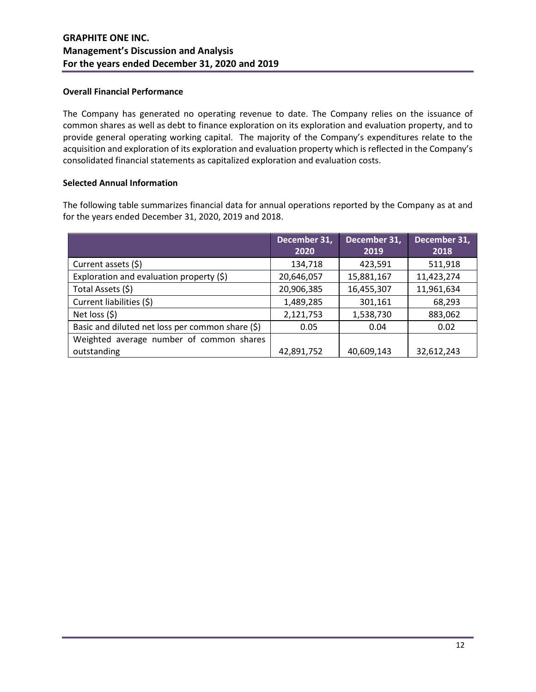### **Overall Financial Performance**

The Company has generated no operating revenue to date. The Company relies on the issuance of common shares as well as debt to finance exploration on its exploration and evaluation property, and to provide general operating working capital. The majority of the Company's expenditures relate to the acquisition and exploration of its exploration and evaluation property which is reflected in the Company's consolidated financial statements as capitalized exploration and evaluation costs.

### **Selected Annual Information**

The following table summarizes financial data for annual operations reported by the Company as at and for the years ended December 31, 2020, 2019 and 2018.

|                                                  | December 31, | December 31, | December 31, |
|--------------------------------------------------|--------------|--------------|--------------|
|                                                  | 2020         | 2019         | 2018         |
| Current assets (\$)                              | 134,718      | 423,591      | 511,918      |
| Exploration and evaluation property (\$)         | 20,646,057   | 15,881,167   | 11,423,274   |
| Total Assets (\$)                                | 20,906,385   | 16,455,307   | 11,961,634   |
| Current liabilities (\$)                         | 1,489,285    | 301,161      | 68,293       |
| Net loss (\$)                                    | 2,121,753    | 1,538,730    | 883,062      |
| Basic and diluted net loss per common share (\$) | 0.05         | 0.04         | 0.02         |
| Weighted average number of common shares         |              |              |              |
| outstanding                                      | 42,891,752   | 40,609,143   | 32,612,243   |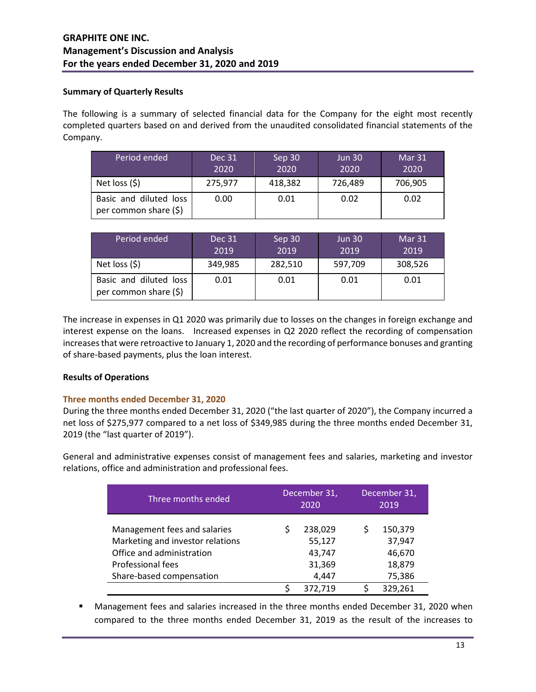### **Summary of Quarterly Results**

The following is a summary of selected financial data for the Company for the eight most recently completed quarters based on and derived from the unaudited consolidated financial statements of the Company.

| Period ended                                    | Dec 31<br>2020 | Sep 30<br>2020 | <b>Jun 30</b><br>2020 | Mar 31<br>2020 |
|-------------------------------------------------|----------------|----------------|-----------------------|----------------|
| Net loss $(5)$                                  | 275,977        | 418,382        | 726,489               | 706,905        |
| Basic and diluted loss<br>per common share (\$) | 0.00           | 0.01           | 0.02                  | 0.02           |

| Period ended                                    | Dec 31<br>2019 | Sep 30<br>2019 | <b>Jun 30</b><br>2019 | Mar 31<br>2019 |
|-------------------------------------------------|----------------|----------------|-----------------------|----------------|
| Net loss $(5)$                                  | 349,985        | 282,510        | 597,709               | 308,526        |
| Basic and diluted loss<br>per common share (\$) | 0.01           | 0.01           | 0.01                  | 0.01           |

The increase in expenses in Q1 2020 was primarily due to losses on the changes in foreign exchange and interest expense on the loans. Increased expenses in Q2 2020 reflect the recording of compensation increases that were retroactive to January 1, 2020 and the recording of performance bonuses and granting of share-based payments, plus the loan interest.

# **Results of Operations**

# **Three months ended December 31, 2020**

During the three months ended December 31, 2020 ("the last quarter of 2020"), the Company incurred a net loss of \$275,977 compared to a net loss of \$349,985 during the three months ended December 31, 2019 (the "last quarter of 2019").

General and administrative expenses consist of management fees and salaries, marketing and investor relations, office and administration and professional fees.

| Three months ended                                                                                                                             | December 31,<br>2020 |                                                |                                                 |  |  |  | December 31,<br>2019 |
|------------------------------------------------------------------------------------------------------------------------------------------------|----------------------|------------------------------------------------|-------------------------------------------------|--|--|--|----------------------|
| Management fees and salaries<br>Marketing and investor relations<br>Office and administration<br>Professional fees<br>Share-based compensation |                      | 238,029<br>55,127<br>43,747<br>31,369<br>4,447 | 150,379<br>37,947<br>46,670<br>18,879<br>75,386 |  |  |  |                      |
|                                                                                                                                                |                      | 372,719                                        | 329,261                                         |  |  |  |                      |

 Management fees and salaries increased in the three months ended December 31, 2020 when compared to the three months ended December 31, 2019 as the result of the increases to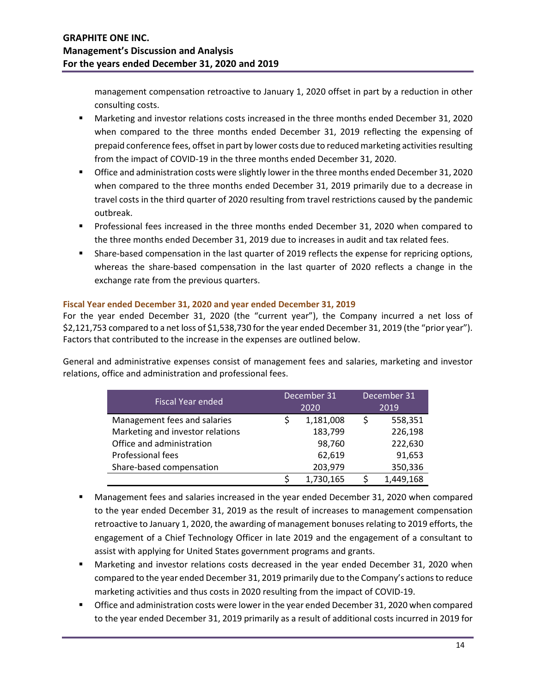management compensation retroactive to January 1, 2020 offset in part by a reduction in other consulting costs.

- Marketing and investor relations costs increased in the three months ended December 31, 2020 when compared to the three months ended December 31, 2019 reflecting the expensing of prepaid conference fees, offset in part by lower costs due to reduced marketing activities resulting from the impact of COVID-19 in the three months ended December 31, 2020.
- Office and administration costs were slightly lower in the three months ended December 31, 2020 when compared to the three months ended December 31, 2019 primarily due to a decrease in travel costs in the third quarter of 2020 resulting from travel restrictions caused by the pandemic outbreak.
- Professional fees increased in the three months ended December 31, 2020 when compared to the three months ended December 31, 2019 due to increases in audit and tax related fees.
- Share-based compensation in the last quarter of 2019 reflects the expense for repricing options, whereas the share-based compensation in the last quarter of 2020 reflects a change in the exchange rate from the previous quarters.

# **Fiscal Year ended December 31, 2020 and year ended December 31, 2019**

For the year ended December 31, 2020 (the "current year"), the Company incurred a net loss of \$2,121,753 compared to a net loss of \$1,538,730 for the year ended December 31, 2019 (the "prior year"). Factors that contributed to the increase in the expenses are outlined below.

General and administrative expenses consist of management fees and salaries, marketing and investor relations, office and administration and professional fees.

| <b>Fiscal Year ended</b>         |        | December 31 |  | December 31 |
|----------------------------------|--------|-------------|--|-------------|
|                                  |        | 2020        |  | 2019        |
| Management fees and salaries     |        | 1,181,008   |  | 558,351     |
| Marketing and investor relations |        | 183,799     |  | 226,198     |
| Office and administration        | 98,760 |             |  | 222,630     |
| Professional fees                |        | 62,619      |  | 91,653      |
| Share-based compensation         |        | 203,979     |  | 350,336     |
|                                  |        | 1,730,165   |  | 1,449,168   |

- Management fees and salaries increased in the year ended December 31, 2020 when compared to the year ended December 31, 2019 as the result of increases to management compensation retroactive to January 1, 2020, the awarding of management bonuses relating to 2019 efforts, the engagement of a Chief Technology Officer in late 2019 and the engagement of a consultant to assist with applying for United States government programs and grants.
- Marketing and investor relations costs decreased in the year ended December 31, 2020 when compared to the year ended December 31, 2019 primarily due to the Company's actions to reduce marketing activities and thus costs in 2020 resulting from the impact of COVID-19.
- **The Office and administration costs were lower in the year ended December 31, 2020 when compared** to the year ended December 31, 2019 primarily as a result of additional costs incurred in 2019 for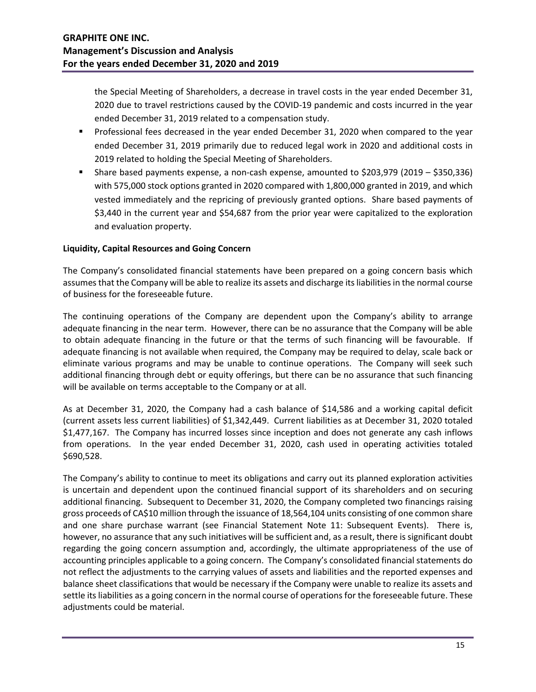the Special Meeting of Shareholders, a decrease in travel costs in the year ended December 31, 2020 due to travel restrictions caused by the COVID-19 pandemic and costs incurred in the year ended December 31, 2019 related to a compensation study.

- Professional fees decreased in the year ended December 31, 2020 when compared to the year ended December 31, 2019 primarily due to reduced legal work in 2020 and additional costs in 2019 related to holding the Special Meeting of Shareholders.
- Share based payments expense, a non-cash expense, amounted to \$203,979 (2019 \$350,336) with 575,000 stock options granted in 2020 compared with 1,800,000 granted in 2019, and which vested immediately and the repricing of previously granted options. Share based payments of \$3,440 in the current year and \$54,687 from the prior year were capitalized to the exploration and evaluation property.

### **Liquidity, Capital Resources and Going Concern**

The Company's consolidated financial statements have been prepared on a going concern basis which assumes that the Company will be able to realize its assets and discharge its liabilities in the normal course of business for the foreseeable future.

The continuing operations of the Company are dependent upon the Company's ability to arrange adequate financing in the near term. However, there can be no assurance that the Company will be able to obtain adequate financing in the future or that the terms of such financing will be favourable. If adequate financing is not available when required, the Company may be required to delay, scale back or eliminate various programs and may be unable to continue operations. The Company will seek such additional financing through debt or equity offerings, but there can be no assurance that such financing will be available on terms acceptable to the Company or at all.

As at December 31, 2020, the Company had a cash balance of \$14,586 and a working capital deficit (current assets less current liabilities) of \$1,342,449. Current liabilities as at December 31, 2020 totaled \$1,477,167. The Company has incurred losses since inception and does not generate any cash inflows from operations. In the year ended December 31, 2020, cash used in operating activities totaled \$690,528.

The Company's ability to continue to meet its obligations and carry out its planned exploration activities is uncertain and dependent upon the continued financial support of its shareholders and on securing additional financing. Subsequent to December 31, 2020, the Company completed two financings raising gross proceeds of CA\$10 million through the issuance of 18,564,104 units consisting of one common share and one share purchase warrant (see Financial Statement Note 11: Subsequent Events). There is, however, no assurance that any such initiatives will be sufficient and, as a result, there is significant doubt regarding the going concern assumption and, accordingly, the ultimate appropriateness of the use of accounting principles applicable to a going concern. The Company's consolidated financial statements do not reflect the adjustments to the carrying values of assets and liabilities and the reported expenses and balance sheet classifications that would be necessary if the Company were unable to realize its assets and settle its liabilities as a going concern in the normal course of operations for the foreseeable future. These adjustments could be material.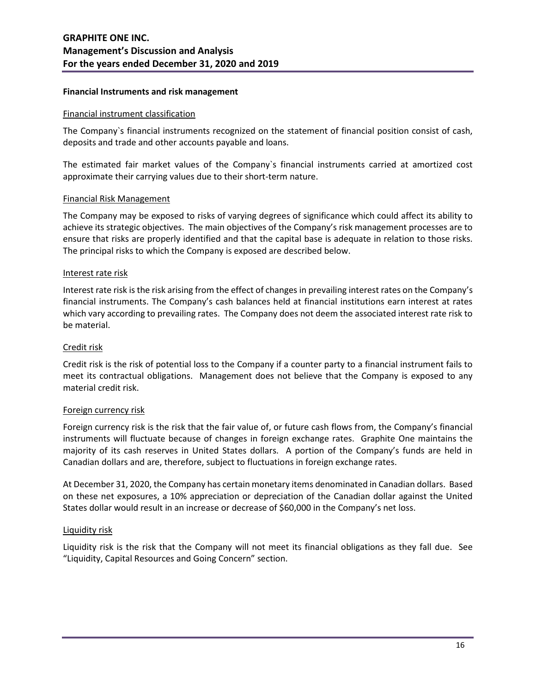#### **Financial Instruments and risk management**

#### Financial instrument classification

The Company`s financial instruments recognized on the statement of financial position consist of cash, deposits and trade and other accounts payable and loans.

The estimated fair market values of the Company`s financial instruments carried at amortized cost approximate their carrying values due to their short-term nature.

#### Financial Risk Management

The Company may be exposed to risks of varying degrees of significance which could affect its ability to achieve its strategic objectives. The main objectives of the Company's risk management processes are to ensure that risks are properly identified and that the capital base is adequate in relation to those risks. The principal risks to which the Company is exposed are described below.

#### Interest rate risk

Interest rate risk is the risk arising from the effect of changes in prevailing interest rates on the Company's financial instruments. The Company's cash balances held at financial institutions earn interest at rates which vary according to prevailing rates. The Company does not deem the associated interest rate risk to be material.

#### Credit risk

Credit risk is the risk of potential loss to the Company if a counter party to a financial instrument fails to meet its contractual obligations. Management does not believe that the Company is exposed to any material credit risk.

#### Foreign currency risk

Foreign currency risk is the risk that the fair value of, or future cash flows from, the Company's financial instruments will fluctuate because of changes in foreign exchange rates. Graphite One maintains the majority of its cash reserves in United States dollars. A portion of the Company's funds are held in Canadian dollars and are, therefore, subject to fluctuations in foreign exchange rates.

At December 31, 2020, the Company has certain monetary items denominated in Canadian dollars. Based on these net exposures, a 10% appreciation or depreciation of the Canadian dollar against the United States dollar would result in an increase or decrease of \$60,000 in the Company's net loss.

#### Liquidity risk

Liquidity risk is the risk that the Company will not meet its financial obligations as they fall due. See "Liquidity, Capital Resources and Going Concern" section.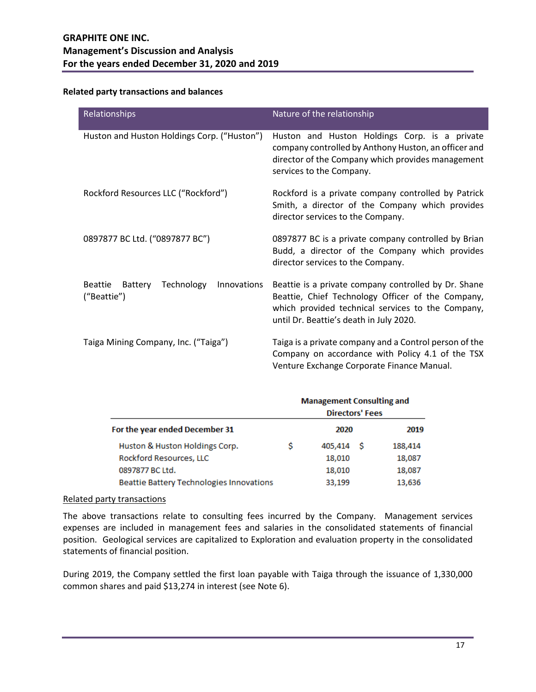# **Related party transactions and balances**

| Relationships                                                         | Nature of the relationship                                                                                                                                                                                |  |  |
|-----------------------------------------------------------------------|-----------------------------------------------------------------------------------------------------------------------------------------------------------------------------------------------------------|--|--|
| Huston and Huston Holdings Corp. ("Huston")                           | Huston and Huston Holdings Corp. is a private<br>company controlled by Anthony Huston, an officer and<br>director of the Company which provides management<br>services to the Company.                    |  |  |
| Rockford Resources LLC ("Rockford")                                   | Rockford is a private company controlled by Patrick<br>Smith, a director of the Company which provides<br>director services to the Company.                                                               |  |  |
| 0897877 BC Ltd. ("0897877 BC")                                        | 0897877 BC is a private company controlled by Brian<br>Budd, a director of the Company which provides<br>director services to the Company.                                                                |  |  |
| <b>Beattie</b><br>Battery<br>Technology<br>Innovations<br>("Beattie") | Beattie is a private company controlled by Dr. Shane<br>Beattie, Chief Technology Officer of the Company,<br>which provided technical services to the Company,<br>until Dr. Beattie's death in July 2020. |  |  |
| Taiga Mining Company, Inc. ("Taiga")                                  | Taiga is a private company and a Control person of the<br>Company on accordance with Policy 4.1 of the TSX<br>Venture Exchange Corporate Finance Manual.                                                  |  |  |

|                                          |   | <b>Management Consulting and</b><br><b>Directors' Fees</b> |     |         |
|------------------------------------------|---|------------------------------------------------------------|-----|---------|
| For the year ended December 31           |   | 2020                                                       |     | 2019    |
| Huston & Huston Holdings Corp.           | S | 405,414                                                    | - S | 188,414 |
| Rockford Resources, LLC                  |   | 18,010                                                     |     | 18,087  |
| 0897877 BC Ltd.                          |   | 18,010                                                     |     | 18,087  |
| Beattie Battery Technologies Innovations |   | 33,199                                                     |     | 13,636  |

#### Related party transactions

The above transactions relate to consulting fees incurred by the Company. Management services expenses are included in management fees and salaries in the consolidated statements of financial position. Geological services are capitalized to Exploration and evaluation property in the consolidated statements of financial position.

During 2019, the Company settled the first loan payable with Taiga through the issuance of 1,330,000 common shares and paid \$13,274 in interest (see Note 6).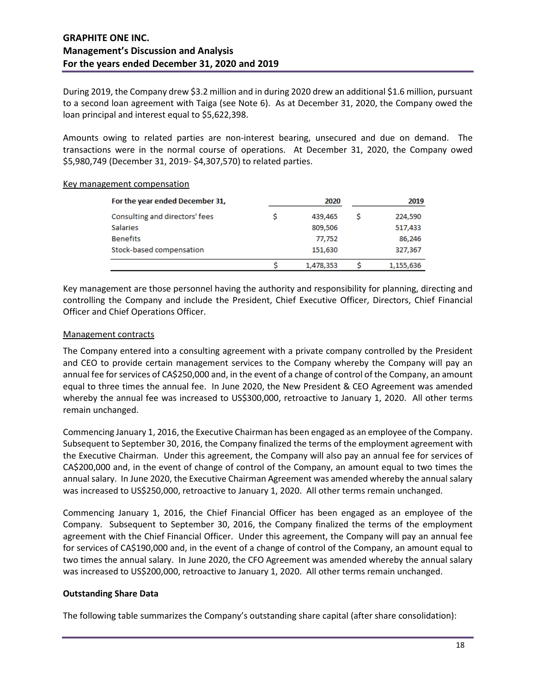During 2019, the Company drew \$3.2 million and in during 2020 drew an additional \$1.6 million, pursuant to a second loan agreement with Taiga (see Note 6). As at December 31, 2020, the Company owed the loan principal and interest equal to \$5,622,398.

Amounts owing to related parties are non-interest bearing, unsecured and due on demand. The transactions were in the normal course of operations. At December 31, 2020, the Company owed \$5,980,749 (December 31, 2019- \$4,307,570) to related parties.

| For the year ended December 31, | 2020      | 2019      |
|---------------------------------|-----------|-----------|
| Consulting and directors' fees  | 439.465   | 224,590   |
| <b>Salaries</b>                 | 809,506   | 517,433   |
| <b>Benefits</b>                 | 77,752    | 86,246    |
| Stock-based compensation        | 151,630   | 327,367   |
|                                 | 1,478,353 | 1,155,636 |

#### Key management compensation

Key management are those personnel having the authority and responsibility for planning, directing and controlling the Company and include the President, Chief Executive Officer, Directors, Chief Financial Officer and Chief Operations Officer.

# Management contracts

The Company entered into a consulting agreement with a private company controlled by the President and CEO to provide certain management services to the Company whereby the Company will pay an annual fee for services of CA\$250,000 and, in the event of a change of control of the Company, an amount equal to three times the annual fee. In June 2020, the New President & CEO Agreement was amended whereby the annual fee was increased to US\$300,000, retroactive to January 1, 2020. All other terms remain unchanged.

Commencing January 1, 2016, the Executive Chairman has been engaged as an employee of the Company. Subsequent to September 30, 2016, the Company finalized the terms of the employment agreement with the Executive Chairman. Under this agreement, the Company will also pay an annual fee for services of CA\$200,000 and, in the event of change of control of the Company, an amount equal to two times the annual salary. In June 2020, the Executive Chairman Agreement was amended whereby the annual salary was increased to US\$250,000, retroactive to January 1, 2020. All other terms remain unchanged.

Commencing January 1, 2016, the Chief Financial Officer has been engaged as an employee of the Company. Subsequent to September 30, 2016, the Company finalized the terms of the employment agreement with the Chief Financial Officer. Under this agreement, the Company will pay an annual fee for services of CA\$190,000 and, in the event of a change of control of the Company, an amount equal to two times the annual salary. In June 2020, the CFO Agreement was amended whereby the annual salary was increased to US\$200,000, retroactive to January 1, 2020. All other terms remain unchanged.

# **Outstanding Share Data**

The following table summarizes the Company's outstanding share capital (after share consolidation):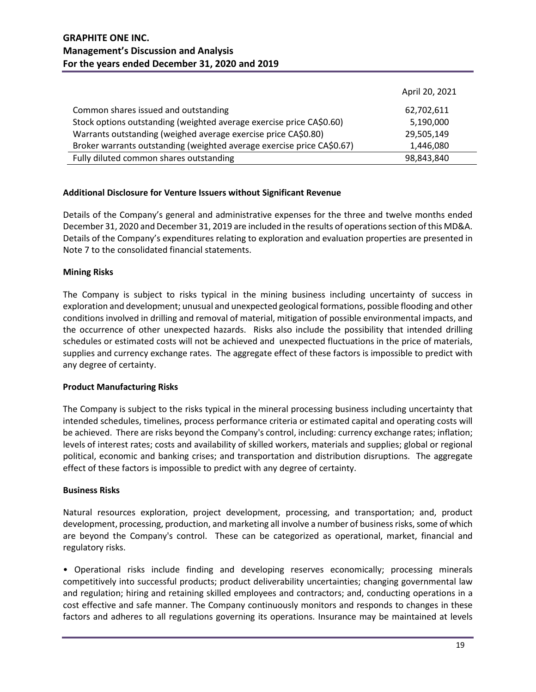|                                                                        | April 20, 2021 |
|------------------------------------------------------------------------|----------------|
| Common shares issued and outstanding                                   | 62,702,611     |
| Stock options outstanding (weighted average exercise price CA\$0.60)   | 5,190,000      |
| Warrants outstanding (weighed average exercise price CA\$0.80)         | 29,505,149     |
| Broker warrants outstanding (weighted average exercise price CA\$0.67) | 1,446,080      |
| Fully diluted common shares outstanding                                | 98,843,840     |

# **Additional Disclosure for Venture Issuers without Significant Revenue**

Details of the Company's general and administrative expenses for the three and twelve months ended December 31, 2020 and December 31, 2019 are included in the results of operations section of this MD&A. Details of the Company's expenditures relating to exploration and evaluation properties are presented in Note 7 to the consolidated financial statements.

#### **Mining Risks**

The Company is subject to risks typical in the mining business including uncertainty of success in exploration and development; unusual and unexpected geological formations, possible flooding and other conditions involved in drilling and removal of material, mitigation of possible environmental impacts, and the occurrence of other unexpected hazards. Risks also include the possibility that intended drilling schedules or estimated costs will not be achieved and unexpected fluctuations in the price of materials, supplies and currency exchange rates. The aggregate effect of these factors is impossible to predict with any degree of certainty.

#### **Product Manufacturing Risks**

The Company is subject to the risks typical in the mineral processing business including uncertainty that intended schedules, timelines, process performance criteria or estimated capital and operating costs will be achieved. There are risks beyond the Company's control, including: currency exchange rates; inflation; levels of interest rates; costs and availability of skilled workers, materials and supplies; global or regional political, economic and banking crises; and transportation and distribution disruptions. The aggregate effect of these factors is impossible to predict with any degree of certainty.

#### **Business Risks**

Natural resources exploration, project development, processing, and transportation; and, product development, processing, production, and marketing all involve a number of business risks, some of which are beyond the Company's control. These can be categorized as operational, market, financial and regulatory risks.

• Operational risks include finding and developing reserves economically; processing minerals competitively into successful products; product deliverability uncertainties; changing governmental law and regulation; hiring and retaining skilled employees and contractors; and, conducting operations in a cost effective and safe manner. The Company continuously monitors and responds to changes in these factors and adheres to all regulations governing its operations. Insurance may be maintained at levels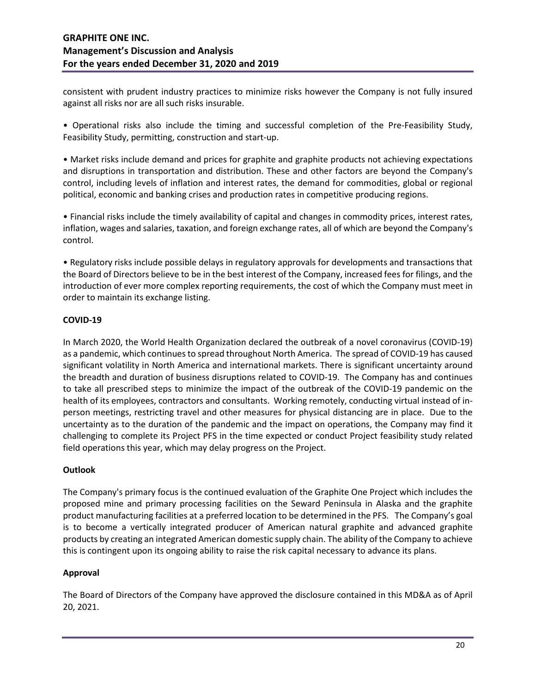consistent with prudent industry practices to minimize risks however the Company is not fully insured against all risks nor are all such risks insurable.

• Operational risks also include the timing and successful completion of the Pre-Feasibility Study, Feasibility Study, permitting, construction and start-up.

• Market risks include demand and prices for graphite and graphite products not achieving expectations and disruptions in transportation and distribution. These and other factors are beyond the Company's control, including levels of inflation and interest rates, the demand for commodities, global or regional political, economic and banking crises and production rates in competitive producing regions.

• Financial risks include the timely availability of capital and changes in commodity prices, interest rates, inflation, wages and salaries, taxation, and foreign exchange rates, all of which are beyond the Company's control.

• Regulatory risks include possible delays in regulatory approvals for developments and transactions that the Board of Directors believe to be in the best interest of the Company, increased fees for filings, and the introduction of ever more complex reporting requirements, the cost of which the Company must meet in order to maintain its exchange listing.

### **COVID-19**

In March 2020, the World Health Organization declared the outbreak of a novel coronavirus (COVID-19) as a pandemic, which continues to spread throughout North America. The spread of COVID-19 has caused significant volatility in North America and international markets. There is significant uncertainty around the breadth and duration of business disruptions related to COVID-19. The Company has and continues to take all prescribed steps to minimize the impact of the outbreak of the COVID-19 pandemic on the health of its employees, contractors and consultants. Working remotely, conducting virtual instead of inperson meetings, restricting travel and other measures for physical distancing are in place. Due to the uncertainty as to the duration of the pandemic and the impact on operations, the Company may find it challenging to complete its Project PFS in the time expected or conduct Project feasibility study related field operations this year, which may delay progress on the Project.

#### **Outlook**

The Company's primary focus is the continued evaluation of the Graphite One Project which includes the proposed mine and primary processing facilities on the Seward Peninsula in Alaska and the graphite product manufacturing facilities at a preferred location to be determined in the PFS. The Company's goal is to become a vertically integrated producer of American natural graphite and advanced graphite products by creating an integrated American domestic supply chain. The ability of the Company to achieve this is contingent upon its ongoing ability to raise the risk capital necessary to advance its plans.

#### **Approval**

The Board of Directors of the Company have approved the disclosure contained in this MD&A as of April 20, 2021.